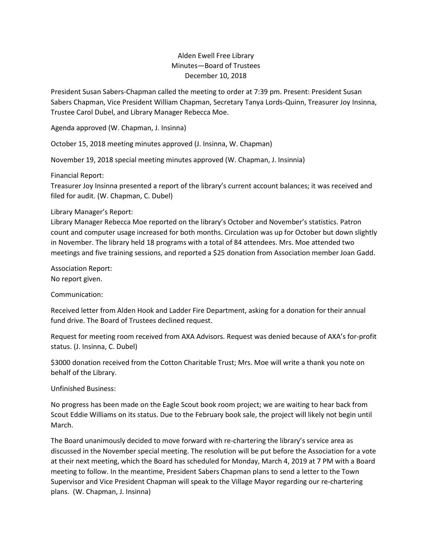## Alden Ewell Free Library Minutes—Board of Trustees December 10, 2018

President Susan Sabers-Chapman called the meeting to order at 7:39 pm. Present: President Susan Sabers Chapman, Vice President William Chapman, Secretary Tanya Lords-Quinn, Treasurer Joy Insinna, Trustee Carol Dubel, and Library Manager Rebecca Moe.

Agenda approved (W. Chapman, J. Insinna)

October 15, 2018 meeting minutes approved (J. Insinna, W. Chapman)

November 19, 2018 special meeting minutes approved (W. Chapman, J. Insinnia)

Financial Report:

Treasurer Joy Insinna presented a report of the library's current account balances; it was received and filed for audit. (W. Chapman, C. Dubel)

## Library Manager's Report:

Library Manager Rebecca Moe reported on the library's October and November's statistics. Patron count and computer usage increased for both months. Circulation was up for October but down slightly in November. The library held 18 programs with a total of 84 attendees. Mrs. Moe attended two meetings and five training sessions, and reported a \$25 donation from Association member Joan Gadd.

Association Report: No report given.

Communication:

Received letter from Alden Hook and Ladder Fire Department, asking for a donation for their annual fund drive. The Board of Trustees declined request.

Request for meeting room received from AXA Advisors. Request was denied because of AXA's for-profit status. (J. Insinna, C. Dubel)

\$3000 donation received from the Cotton Charitable Trust; Mrs. Moe will write a thank you note on behalf of the Library.

Unfinished Business:

No progress has been made on the Eagle Scout book room project; we are waiting to hear back from Scout Eddie Williams on its status. Due to the February book sale, the project will likely not begin until March.

The Board unanimously decided to move forward with re-chartering the library's service area as discussed in the November special meeting. The resolution will be put before the Association for a vote at their next meeting, which the Board has scheduled for Monday, March 4, 2019 at 7 PM with a Board meeting to follow. In the meantime, President Sabers Chapman plans to send a letter to the Town Supervisor and Vice President Chapman will speak to the Village Mayor regarding our re-chartering plans. (W. Chapman, J. Insinna)